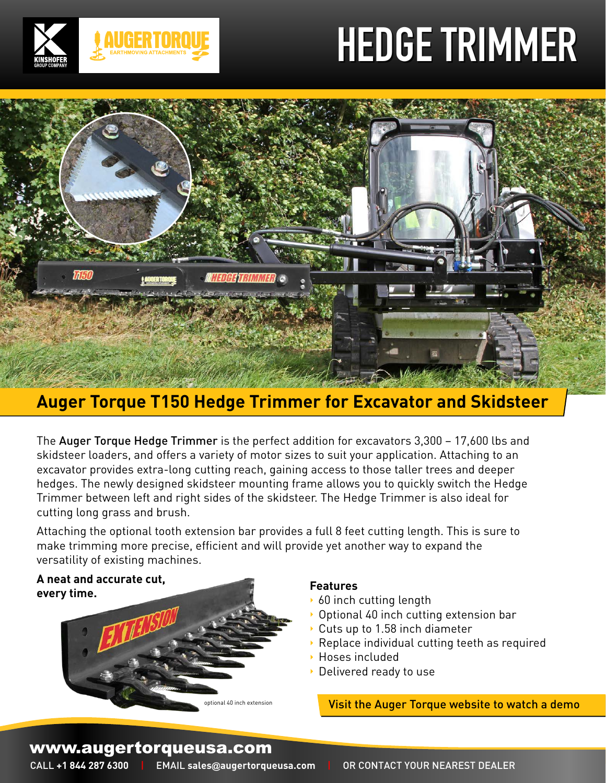# **HEDGE TRIMMER**





# **Auger Torque T150 Hedge Trimmer for Excavator and Skidsteer**

The Auger Torque Hedge Trimmer is the perfect addition for excavators 3,300 – 17,600 lbs and skidsteer loaders, and offers a variety of motor sizes to suit your application. Attaching to an excavator provides extra-long cutting reach, gaining access to those taller trees and deeper hedges. The newly designed skidsteer mounting frame allows you to quickly switch the Hedge Trimmer between left and right sides of the skidsteer. The Hedge Trimmer is also ideal for cutting long grass and brush.

Attaching the optional tooth extension bar provides a full 8 feet cutting length. This is sure to make trimming more precise, efficient and will provide yet another way to expand the versatility of existing machines.

**A neat and accurate cut, every time.**



## **Features**

- ▶ 60 inch cutting length
- Optional 40 inch cutting extension bar
- Cuts up to 1.58 inch diameter
- Replace individual cutting teeth as required
- Hoses included
- Delivered ready to use

Visit the Auger Torque website to watch a demo

# www.augertorqueusa.com